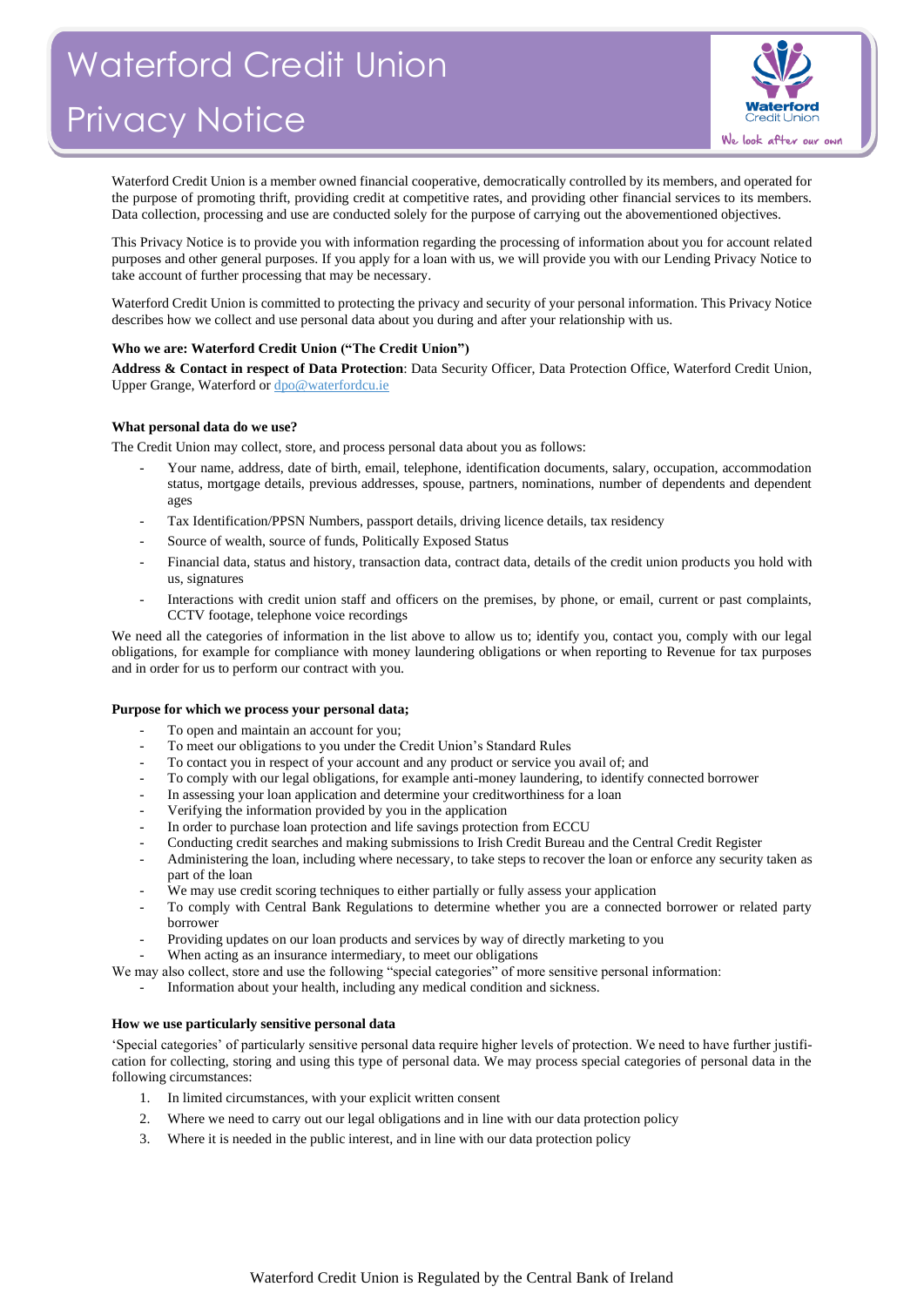

Waterford Credit Union is a member owned financial cooperative, democratically controlled by its members, and operated for the purpose of promoting thrift, providing credit at competitive rates, and providing other financial services to its members. Data collection, processing and use are conducted solely for the purpose of carrying out the abovementioned objectives.

This Privacy Notice is to provide you with information regarding the processing of information about you for account related purposes and other general purposes. If you apply for a loan with us, we will provide you with our Lending Privacy Notice to take account of further processing that may be necessary.

Waterford Credit Union is committed to protecting the privacy and security of your personal information. This Privacy Notice describes how we collect and use personal data about you during and after your relationship with us.

## **Who we are: Waterford Credit Union ("The Credit Union")**

**Address & Contact in respect of Data Protection**: Data Security Officer, Data Protection Office, Waterford Credit Union, Upper Grange, Waterford o[r dpo@waterfordcu.ie](mailto:dpo@waterfordcu.ie)

## **What personal data do we use?**

The Credit Union may collect, store, and process personal data about you as follows:

- Your name, address, date of birth, email, telephone, identification documents, salary, occupation, accommodation status, mortgage details, previous addresses, spouse, partners, nominations, number of dependents and dependent ages
- Tax Identification/PPSN Numbers, passport details, driving licence details, tax residency
- Source of wealth, source of funds, Politically Exposed Status
- Financial data, status and history, transaction data, contract data, details of the credit union products you hold with us, signatures
- Interactions with credit union staff and officers on the premises, by phone, or email, current or past complaints, CCTV footage, telephone voice recordings

We need all the categories of information in the list above to allow us to; identify you, contact you, comply with our legal obligations, for example for compliance with money laundering obligations or when reporting to Revenue for tax purposes and in order for us to perform our contract with you.

## **Purpose for which we process your personal data;**

- To open and maintain an account for you;
- To meet our obligations to you under the Credit Union's Standard Rules
- To contact you in respect of your account and any product or service you avail of; and
- To comply with our legal obligations, for example anti-money laundering, to identify connected borrower
- In assessing your loan application and determine your creditworthiness for a loan
- Verifying the information provided by you in the application
- In order to purchase loan protection and life savings protection from ECCU
- Conducting credit searches and making submissions to Irish Credit Bureau and the Central Credit Register
- Administering the loan, including where necessary, to take steps to recover the loan or enforce any security taken as part of the loan
- We may use credit scoring techniques to either partially or fully assess your application
- To comply with Central Bank Regulations to determine whether you are a connected borrower or related party borrower
- Providing updates on our loan products and services by way of directly marketing to you
- When acting as an insurance intermediary, to meet our obligations
- We may also collect, store and use the following "special categories" of more sensitive personal information:
	- Information about your health, including any medical condition and sickness.

## **How we use particularly sensitive personal data**

'Special categories' of particularly sensitive personal data require higher levels of protection. We need to have further justification for collecting, storing and using this type of personal data. We may process special categories of personal data in the following circumstances:

- 1. In limited circumstances, with your explicit written consent
- 2. Where we need to carry out our legal obligations and in line with our data protection policy
- 3. Where it is needed in the public interest, and in line with our data protection policy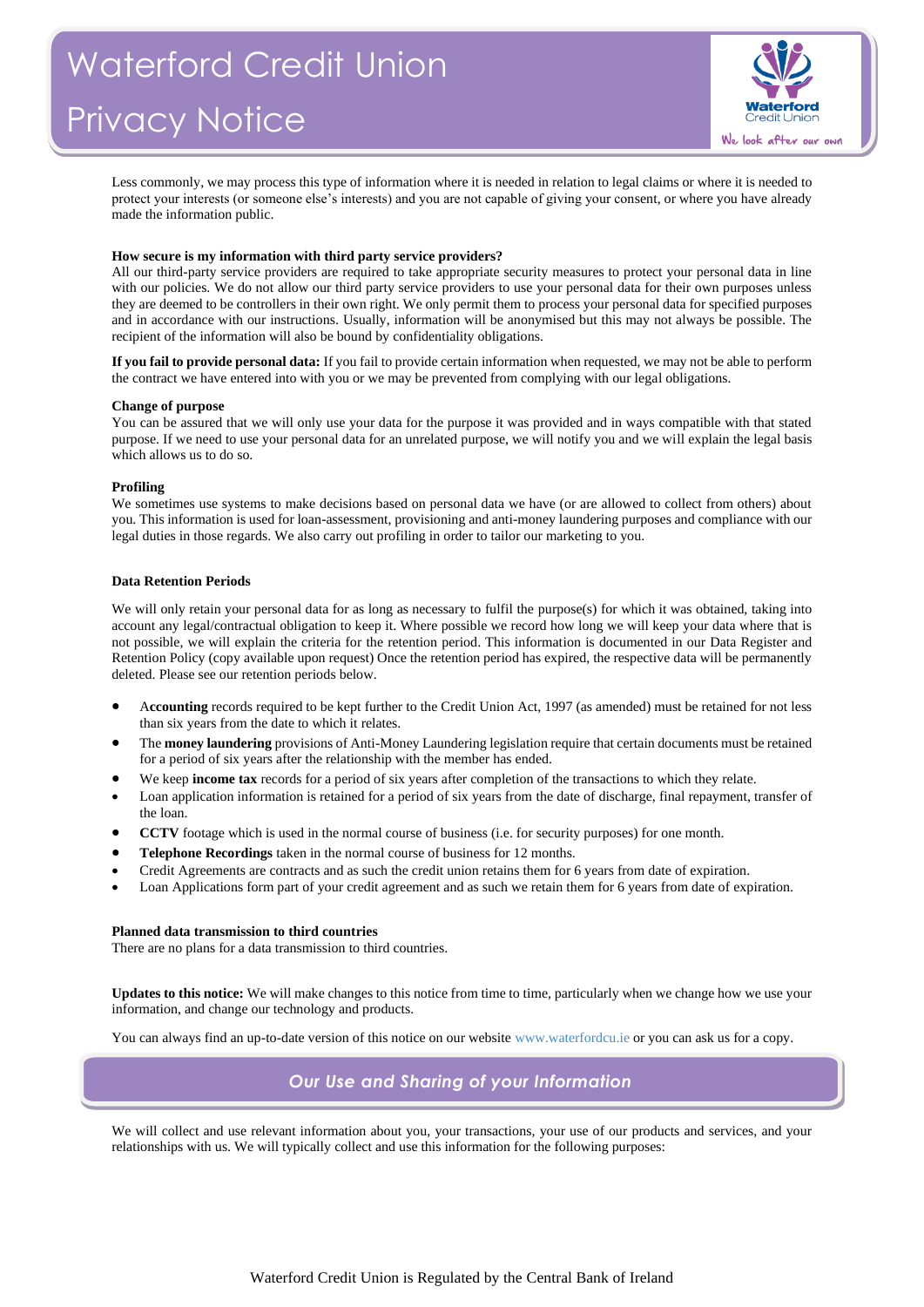

Less commonly, we may process this type of information where it is needed in relation to legal claims or where it is needed to protect your interests (or someone else's interests) and you are not capable of giving your consent, or where you have already made the information public.

## **How secure is my information with third party service providers?**

All our third-party service providers are required to take appropriate security measures to protect your personal data in line with our policies. We do not allow our third party service providers to use your personal data for their own purposes unless they are deemed to be controllers in their own right. We only permit them to process your personal data for specified purposes and in accordance with our instructions. Usually, information will be anonymised but this may not always be possible. The recipient of the information will also be bound by confidentiality obligations.

**If you fail to provide personal data:** If you fail to provide certain information when requested, we may not be able to perform the contract we have entered into with you or we may be prevented from complying with our legal obligations.

## **Change of purpose**

You can be assured that we will only use your data for the purpose it was provided and in ways compatible with that stated purpose. If we need to use your personal data for an unrelated purpose, we will notify you and we will explain the legal basis which allows us to do so.

## **Profiling**

We sometimes use systems to make decisions based on personal data we have (or are allowed to collect from others) about you. This information is used for loan-assessment, provisioning and anti-money laundering purposes and compliance with our legal duties in those regards. We also carry out profiling in order to tailor our marketing to you.

## **Data Retention Periods**

We will only retain your personal data for as long as necessary to fulfil the purpose(s) for which it was obtained, taking into account any legal/contractual obligation to keep it. Where possible we record how long we will keep your data where that is not possible, we will explain the criteria for the retention period. This information is documented in our Data Register and Retention Policy (copy available upon request) Once the retention period has expired, the respective data will be permanently deleted. Please see our retention periods below.

- A**ccounting** records required to be kept further to the Credit Union Act, 1997 (as amended) must be retained for not less than six years from the date to which it relates.
- The **money laundering** provisions of Anti-Money Laundering legislation require that certain documents must be retained for a period of six years after the relationship with the member has ended.
- We keep **income tax** records for a period of six years after completion of the transactions to which they relate.
- Loan application information is retained for a period of six years from the date of discharge, final repayment, transfer of the loan.
- **CCTV** footage which is used in the normal course of business (i.e. for security purposes) for one month.
- **Telephone Recordings** taken in the normal course of business for 12 months.
- Credit Agreements are contracts and as such the credit union retains them for 6 years from date of expiration.
- Loan Applications form part of your credit agreement and as such we retain them for 6 years from date of expiration.

## **Planned data transmission to third countries**

There are no plans for a data transmission to third countries.

**Updates to this notice:** We will make changes to this notice from time to time, particularly when we change how we use your information, and change our technology and products.

You can always find an up-to-date version of this notice on our websit[e www.waterfordcu.ie](http://www.waterfordcu.ie/) or you can ask us for a copy.

# *Our Use and Sharing of your Information*

We will collect and use relevant information about you, your transactions, your use of our products and services, and your relationships with us. We will typically collect and use this information for the following purposes: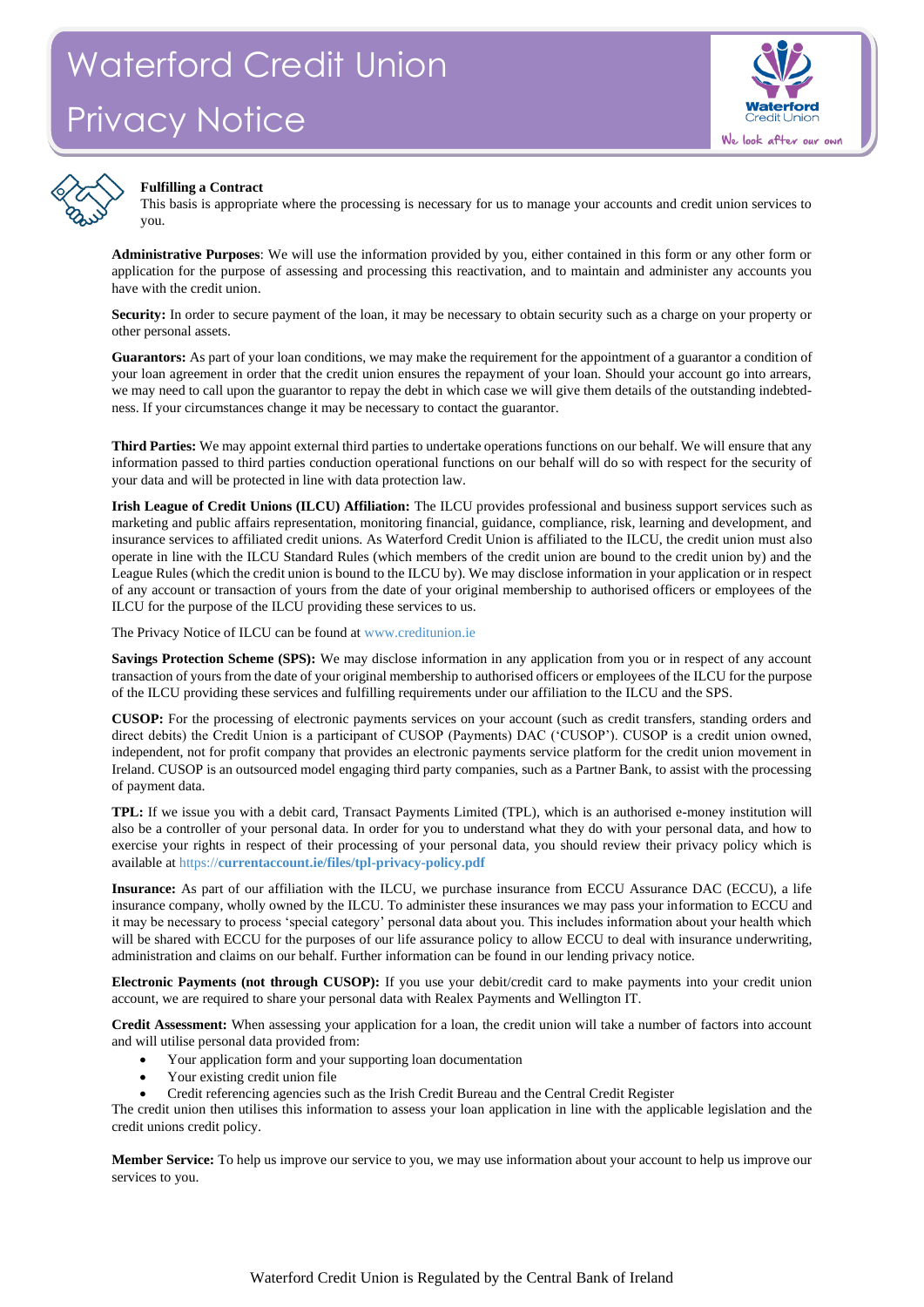



## **Fulfilling a Contract**

This basis is appropriate where the processing is necessary for us to manage your accounts and credit union services to you.

**Administrative Purposes**: We will use the information provided by you, either contained in this form or any other form or application for the purpose of assessing and processing this reactivation, and to maintain and administer any accounts you have with the credit union.

**Security:** In order to secure payment of the loan, it may be necessary to obtain security such as a charge on your property or other personal assets.

**Guarantors:** As part of your loan conditions, we may make the requirement for the appointment of a guarantor a condition of your loan agreement in order that the credit union ensures the repayment of your loan. Should your account go into arrears, we may need to call upon the guarantor to repay the debt in which case we will give them details of the outstanding indebtedness. If your circumstances change it may be necessary to contact the guarantor.

**Third Parties:** We may appoint external third parties to undertake operations functions on our behalf. We will ensure that any information passed to third parties conduction operational functions on our behalf will do so with respect for the security of your data and will be protected in line with data protection law.

**Irish League of Credit Unions (ILCU) Affiliation:** The ILCU provides professional and business support services such as marketing and public affairs representation, monitoring financial, guidance, compliance, risk, learning and development, and insurance services to affiliated credit unions. As Waterford Credit Union is affiliated to the ILCU, the credit union must also operate in line with the ILCU Standard Rules (which members of the credit union are bound to the credit union by) and the League Rules (which the credit union is bound to the ILCU by). We may disclose information in your application or in respect of any account or transaction of yours from the date of your original membership to authorised officers or employees of the ILCU for the purpose of the ILCU providing these services to us.

The Privacy Notice of ILCU can be found a[t www.creditunion.ie](http://www.creditunion.ie/)

**Savings Protection Scheme (SPS):** We may disclose information in any application from you or in respect of any account transaction of yours from the date of your original membership to authorised officers or employees of the ILCU for the purpose of the ILCU providing these services and fulfilling requirements under our affiliation to the ILCU and the SPS.

**CUSOP:** For the processing of electronic payments services on your account (such as credit transfers, standing orders and direct debits) the Credit Union is a participant of CUSOP (Payments) DAC ('CUSOP'). CUSOP is a credit union owned, independent, not for profit company that provides an electronic payments service platform for the credit union movement in Ireland. CUSOP is an outsourced model engaging third party companies, such as a Partner Bank, to assist with the processing of payment data.

**TPL:** If we issue you with a debit card, Transact Payments Limited (TPL), which is an authorised e-money institution will also be a controller of your personal data. In order for you to understand what they do with your personal data, and how to exercise your rights in respect of their processing of your personal data, you should review their privacy policy which is available at https://**[currentaccount.ie/files/tpl-privacy-policy.pdf](https://currentaccount.ie/files/tpl-privacy-policy.pdf)**

**Insurance:** As part of our affiliation with the ILCU, we purchase insurance from ECCU Assurance DAC (ECCU), a life insurance company, wholly owned by the ILCU. To administer these insurances we may pass your information to ECCU and it may be necessary to process 'special category' personal data about you. This includes information about your health which will be shared with ECCU for the purposes of our life assurance policy to allow ECCU to deal with insurance underwriting, administration and claims on our behalf. Further information can be found in our lending privacy notice.

**Electronic Payments (not through CUSOP):** If you use your debit/credit card to make payments into your credit union account, we are required to share your personal data with Realex Payments and Wellington IT.

**Credit Assessment:** When assessing your application for a loan, the credit union will take a number of factors into account and will utilise personal data provided from:

- Your application form and your supporting loan documentation
- Your existing credit union file
- Credit referencing agencies such as the Irish Credit Bureau and the Central Credit Register

The credit union then utilises this information to assess your loan application in line with the applicable legislation and the credit unions credit policy.

**Member Service:** To help us improve our service to you, we may use information about your account to help us improve our services to you.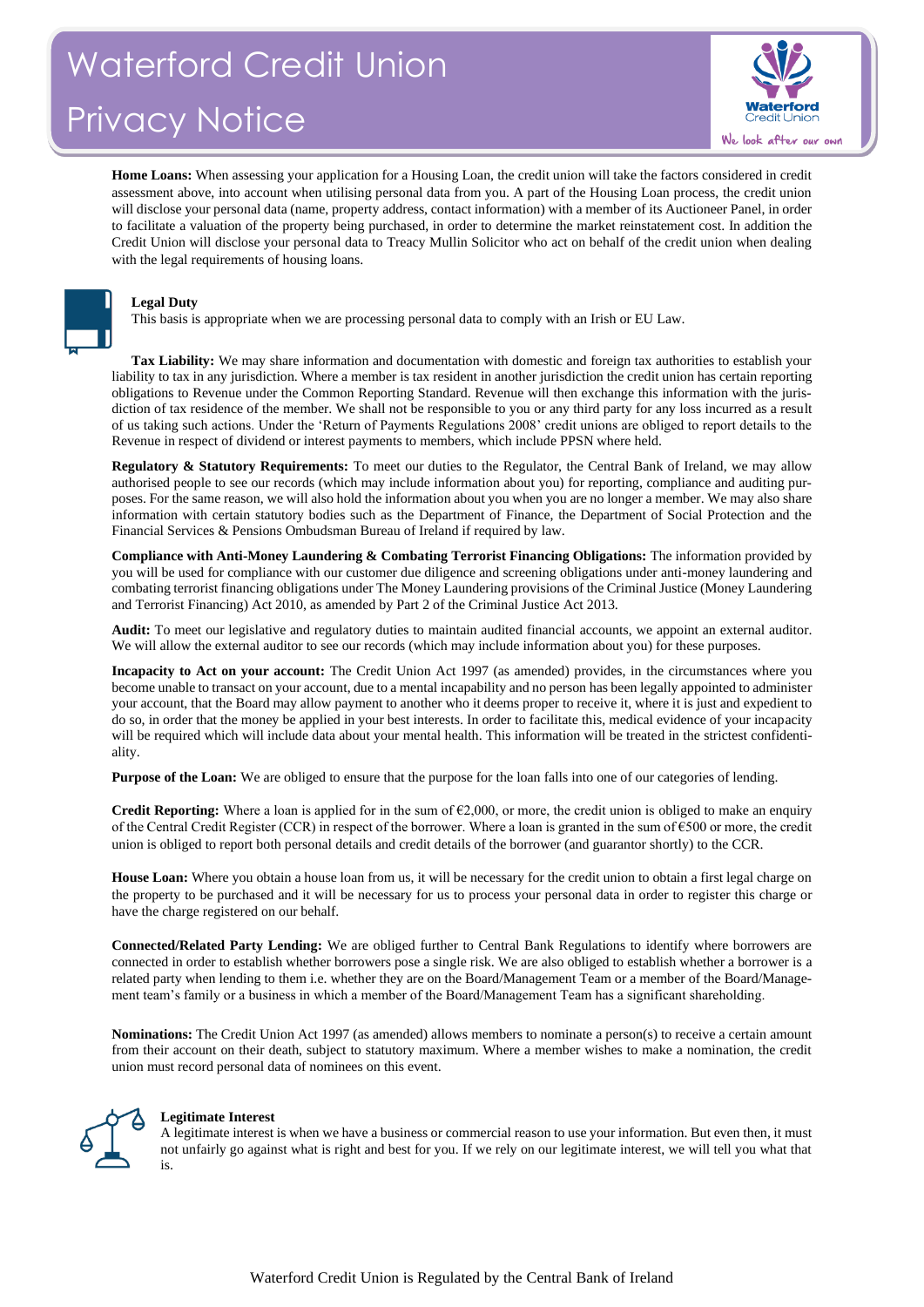# Waterford Credit Union Privacy Notice



**Home Loans:** When assessing your application for a Housing Loan, the credit union will take the factors considered in credit assessment above, into account when utilising personal data from you. A part of the Housing Loan process, the credit union will disclose your personal data (name, property address, contact information) with a member of its Auctioneer Panel, in order to facilitate a valuation of the property being purchased, in order to determine the market reinstatement cost. In addition the Credit Union will disclose your personal data to Treacy Mullin Solicitor who act on behalf of the credit union when dealing with the legal requirements of housing loans.



## **Legal Duty**

This basis is appropriate when we are processing personal data to comply with an Irish or EU Law.

**Tax Liability:** We may share information and documentation with domestic and foreign tax authorities to establish your liability to tax in any jurisdiction. Where a member is tax resident in another jurisdiction the credit union has certain reporting obligations to Revenue under the Common Reporting Standard. Revenue will then exchange this information with the jurisdiction of tax residence of the member. We shall not be responsible to you or any third party for any loss incurred as a result of us taking such actions. Under the 'Return of Payments Regulations 2008' credit unions are obliged to report details to the Revenue in respect of dividend or interest payments to members, which include PPSN where held.

**Regulatory & Statutory Requirements:** To meet our duties to the Regulator, the Central Bank of Ireland, we may allow authorised people to see our records (which may include information about you) for reporting, compliance and auditing purposes. For the same reason, we will also hold the information about you when you are no longer a member. We may also share information with certain statutory bodies such as the Department of Finance, the Department of Social Protection and the Financial Services & Pensions Ombudsman Bureau of Ireland if required by law.

**Compliance with Anti-Money Laundering & Combating Terrorist Financing Obligations:** The information provided by you will be used for compliance with our customer due diligence and screening obligations under anti-money laundering and combating terrorist financing obligations under The Money Laundering provisions of the Criminal Justice (Money Laundering and Terrorist Financing) Act 2010, as amended by Part 2 of the Criminal Justice Act 2013.

**Audit:** To meet our legislative and regulatory duties to maintain audited financial accounts, we appoint an external auditor. We will allow the external auditor to see our records (which may include information about you) for these purposes.

**Incapacity to Act on your account:** The Credit Union Act 1997 (as amended) provides, in the circumstances where you become unable to transact on your account, due to a mental incapability and no person has been legally appointed to administer your account, that the Board may allow payment to another who it deems proper to receive it, where it is just and expedient to do so, in order that the money be applied in your best interests. In order to facilitate this, medical evidence of your incapacity will be required which will include data about your mental health. This information will be treated in the strictest confidentiality.

**Purpose of the Loan:** We are obliged to ensure that the purpose for the loan falls into one of our categories of lending.

**Credit Reporting:** Where a loan is applied for in the sum of  $\epsilon$ 2,000, or more, the credit union is obliged to make an enquiry of the Central Credit Register (CCR) in respect of the borrower. Where a loan is granted in the sum of  $\epsilon$ 500 or more, the credit union is obliged to report both personal details and credit details of the borrower (and guarantor shortly) to the CCR.

**House Loan:** Where you obtain a house loan from us, it will be necessary for the credit union to obtain a first legal charge on the property to be purchased and it will be necessary for us to process your personal data in order to register this charge or have the charge registered on our behalf.

**Connected/Related Party Lending:** We are obliged further to Central Bank Regulations to identify where borrowers are connected in order to establish whether borrowers pose a single risk. We are also obliged to establish whether a borrower is a related party when lending to them i.e. whether they are on the Board/Management Team or a member of the Board/Management team's family or a business in which a member of the Board/Management Team has a significant shareholding.

**Nominations:** The Credit Union Act 1997 (as amended) allows members to nominate a person(s) to receive a certain amount from their account on their death, subject to statutory maximum. Where a member wishes to make a nomination, the credit union must record personal data of nominees on this event.



## **Legitimate Interest**

A legitimate interest is when we have a business or commercial reason to use your information. But even then, it must not unfairly go against what is right and best for you. If we rely on our legitimate interest, we will tell you what that is.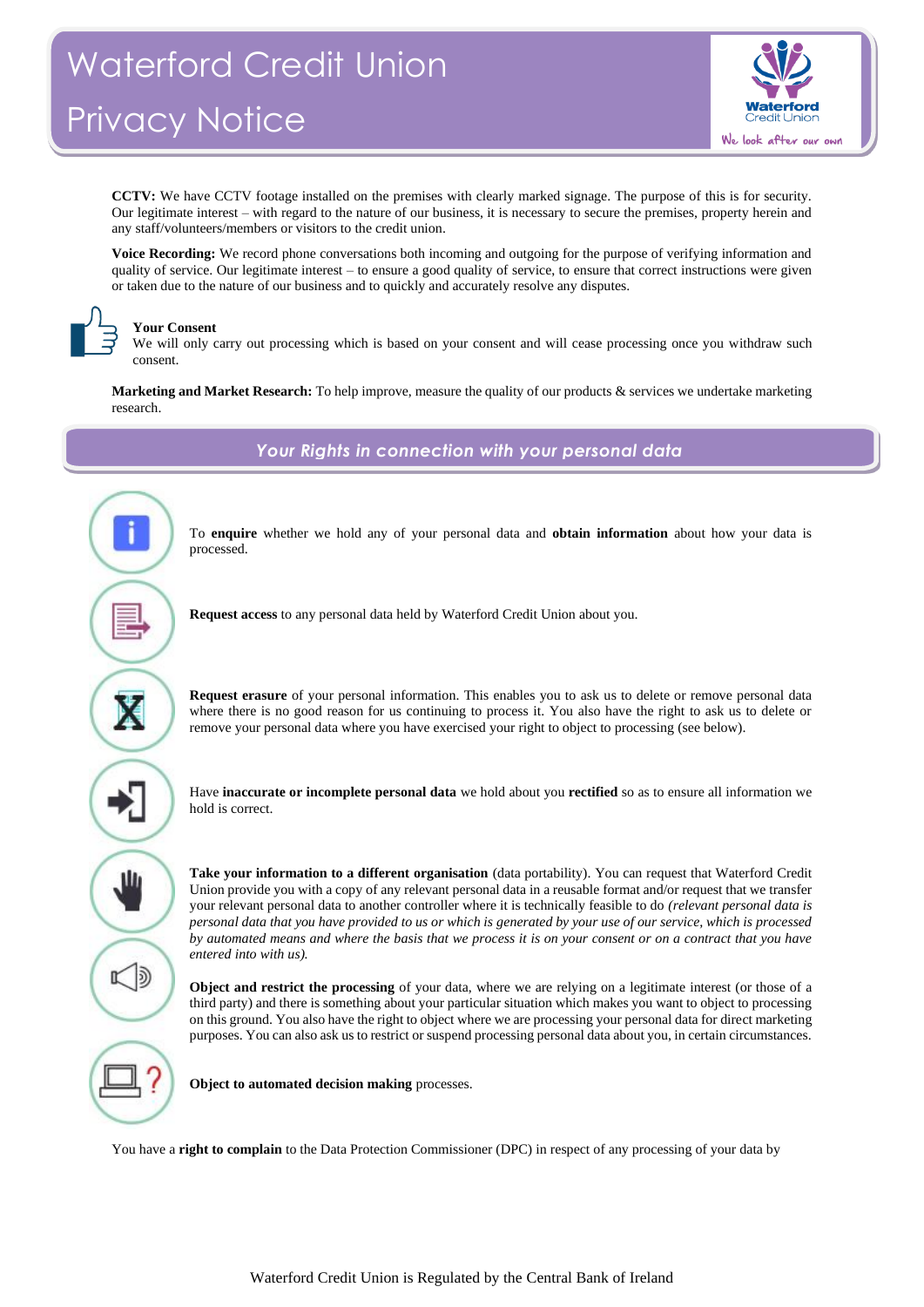# Waterford Credit Union Privacy Notice



**CCTV:** We have CCTV footage installed on the premises with clearly marked signage. The purpose of this is for security. Our legitimate interest – with regard to the nature of our business, it is necessary to secure the premises, property herein and any staff/volunteers/members or visitors to the credit union.

**Voice Recording:** We record phone conversations both incoming and outgoing for the purpose of verifying information and quality of service. Our legitimate interest – to ensure a good quality of service, to ensure that correct instructions were given or taken due to the nature of our business and to quickly and accurately resolve any disputes.



# **Your Consent**

We will only carry out processing which is based on your consent and will cease processing once you withdraw such consent.

**Marketing and Market Research:** To help improve, measure the quality of our products & services we undertake marketing research.



*Your Rights in connection with your personal data*

To **enquire** whether we hold any of your personal data and **obtain information** about how your data is

**Request access** to any personal data held by Waterford Credit Union about you.

**Request erasure** of your personal information. This enables you to ask us to delete or remove personal data where there is no good reason for us continuing to process it. You also have the right to ask us to delete or remove your personal data where you have exercised your right to object to processing (see below).

Have **inaccurate or incomplete personal data** we hold about you **rectified** so as to ensure all information we hold is correct.

**Take your information to a different organisation** (data portability). You can request that Waterford Credit Union provide you with a copy of any relevant personal data in a reusable format and/or request that we transfer your relevant personal data to another controller where it is technically feasible to do *(relevant personal data is personal data that you have provided to us or which is generated by your use of our service, which is processed by automated means and where the basis that we process it is on your consent or on a contract that you have entered into with us).*

**Object and restrict the processing** of your data, where we are relying on a legitimate interest (or those of a third party) and there is something about your particular situation which makes you want to object to processing on this ground. You also have the right to object where we are processing your personal data for direct marketing purposes. You can also ask us to restrict or suspend processing personal data about you, in certain circumstances.

**Object to automated decision making** processes.

You have a **right to complain** to the Data Protection Commissioner (DPC) in respect of any processing of your data by